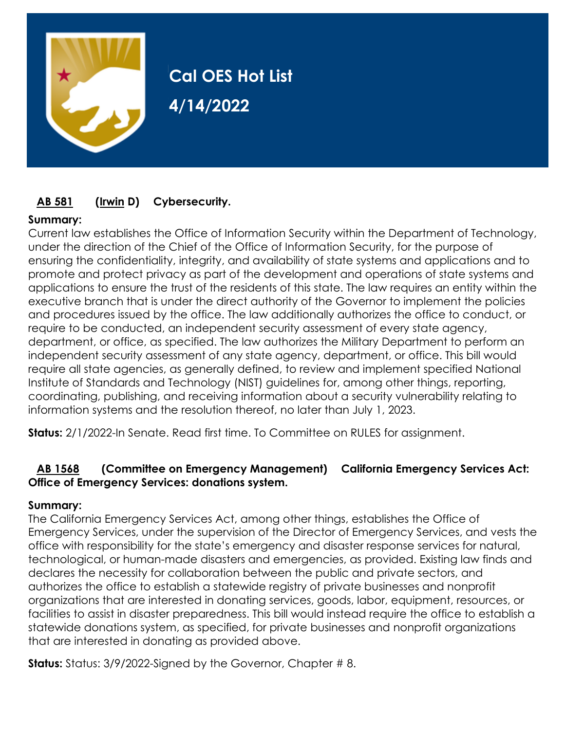

# **Cal OES Hot List 4/14/2022**

# **[AB 581](https://ctweb.capitoltrack.com/public/publishbillinfo.aspx?bi=mW3gpAVVRP%2fNw4MejvzJ23zBKJJPhQqSFGHPXy86ZClzG2uUfn68KxkmlXQfxKSf) [\(Irwin](https://a44.asmdc.org/) D) Cybersecurity.**

# **Summary:**

Current law establishes the Office of Information Security within the Department of Technology, under the direction of the Chief of the Office of Information Security, for the purpose of ensuring the confidentiality, integrity, and availability of state systems and applications and to promote and protect privacy as part of the development and operations of state systems and applications to ensure the trust of the residents of this state. The law requires an entity within the executive branch that is under the direct authority of the Governor to implement the policies and procedures issued by the office. The law additionally authorizes the office to conduct, or require to be conducted, an independent security assessment of every state agency, department, or office, as specified. The law authorizes the Military Department to perform an independent security assessment of any state agency, department, or office. This bill would require all state agencies, as generally defined, to review and implement specified National Institute of Standards and Technology (NIST) guidelines for, among other things, reporting, coordinating, publishing, and receiving information about a security vulnerability relating to information systems and the resolution thereof, no later than July 1, 2023.

**Status:** 2/1/2022-In Senate. Read first time. To Committee on RULES for assignment.

# **[AB 1568](https://ctweb.capitoltrack.com/public/publishbillinfo.aspx?bi=hssW4B9Rw6SaCZx96%2btsuCd%2bqVuvhtPc6JCm3yAn06myZgjjNSH9ukPo8UDKn%2btl) (Committee on Emergency Management) California Emergency Services Act: Office of Emergency Services: donations system.**

#### **Summary:**

The California Emergency Services Act, among other things, establishes the Office of Emergency Services, under the supervision of the Director of Emergency Services, and vests the office with responsibility for the state's emergency and disaster response services for natural, technological, or human-made disasters and emergencies, as provided. Existing law finds and declares the necessity for collaboration between the public and private sectors, and authorizes the office to establish a statewide registry of private businesses and nonprofit organizations that are interested in donating services, goods, labor, equipment, resources, or facilities to assist in disaster preparedness. This bill would instead require the office to establish a statewide donations system, as specified, for private businesses and nonprofit organizations that are interested in donating as provided above.

**Status:** Status: 3/9/2022-Signed by the Governor, Chapter # 8.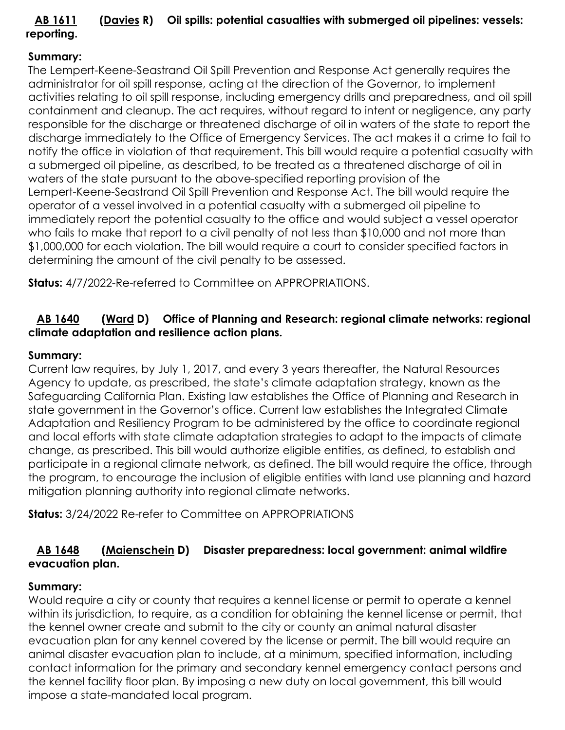# **[AB 1611](https://ctweb.capitoltrack.com/public/publishbillinfo.aspx?bi=orXL7o%2f1jXj%2fA3DLPaH8Af8WlKDIpxQeN%2f%2fgJGI1E4m2cHWbvDE8bp3jOMGzaLOX) [\(Davies](http://ad73.asmrc.org/) R) Oil spills: potential casualties with submerged oil pipelines: vessels: reporting.**

# **Summary:**

The Lempert-Keene-Seastrand Oil Spill Prevention and Response Act generally requires the administrator for oil spill response, acting at the direction of the Governor, to implement activities relating to oil spill response, including emergency drills and preparedness, and oil spill containment and cleanup. The act requires, without regard to intent or negligence, any party responsible for the discharge or threatened discharge of oil in waters of the state to report the discharge immediately to the Office of Emergency Services. The act makes it a crime to fail to notify the office in violation of that requirement. This bill would require a potential casualty with a submerged oil pipeline, as described, to be treated as a threatened discharge of oil in waters of the state pursuant to the above-specified reporting provision of the Lempert-Keene-Seastrand Oil Spill Prevention and Response Act. The bill would require the operator of a vessel involved in a potential casualty with a submerged oil pipeline to immediately report the potential casualty to the office and would subject a vessel operator who fails to make that report to a civil penalty of not less than \$10,000 and not more than \$1,000,000 for each violation. The bill would require a court to consider specified factors in determining the amount of the civil penalty to be assessed.

**Status:** 4/7/2022-Re-referred to Committee on APPROPRIATIONS.

# **[AB 1640](https://ctweb.capitoltrack.com/public/publishbillinfo.aspx?bi=FPF62MNYIgD5vfmc7HzXnSQLHZinQQECc68fEzVnxam1C2cO1rnPkgyZvGTp%2fPj1) [\(Ward](https://a78.asmdc.org/) D) Office of Planning and Research: regional climate networks: regional climate adaptation and resilience action plans.**

# **Summary:**

Current law requires, by July 1, 2017, and every 3 years thereafter, the Natural Resources Agency to update, as prescribed, the state's climate adaptation strategy, known as the Safeguarding California Plan. Existing law establishes the Office of Planning and Research in state government in the Governor's office. Current law establishes the Integrated Climate Adaptation and Resiliency Program to be administered by the office to coordinate regional and local efforts with state climate adaptation strategies to adapt to the impacts of climate change, as prescribed. This bill would authorize eligible entities, as defined, to establish and participate in a regional climate network, as defined. The bill would require the office, through the program, to encourage the inclusion of eligible entities with land use planning and hazard mitigation planning authority into regional climate networks.

**Status:** 3/24/2022 Re-refer to Committee on APPROPRIATIONS

# **[AB 1648](https://ctweb.capitoltrack.com/public/publishbillinfo.aspx?bi=FPF62MNYIgD5vfmc7HzXnfpdQRgGF7TGlpONXE6mBNFylbrHx3J2VRFTJ2GcMsAr) [\(Maienschein](https://a77.asmdc.org/) D) Disaster preparedness: local government: animal wildfire evacuation plan.**

# **Summary:**

Would require a city or county that requires a kennel license or permit to operate a kennel within its jurisdiction, to require, as a condition for obtaining the kennel license or permit, that the kennel owner create and submit to the city or county an animal natural disaster evacuation plan for any kennel covered by the license or permit. The bill would require an animal disaster evacuation plan to include, at a minimum, specified information, including contact information for the primary and secondary kennel emergency contact persons and the kennel facility floor plan. By imposing a new duty on local government, this bill would impose a state-mandated local program.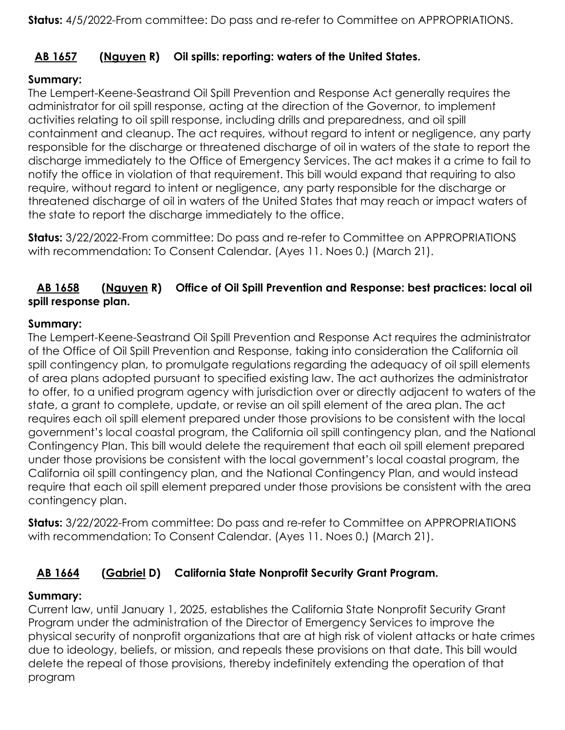# **[AB 1657](https://ctweb.capitoltrack.com/public/publishbillinfo.aspx?bi=YmYdJxfO%2blj1bSLP%2bWsAgNPLAqdHr5h%2fitu7t0ZCd9jTcTLwnLlUG%2fQTW0ingdmw) [\(Nguyen](https://ad72.asmrc.org/) R) Oil spills: reporting: waters of the United States.**

# **Summary:**

The Lempert-Keene-Seastrand Oil Spill Prevention and Response Act generally requires the administrator for oil spill response, acting at the direction of the Governor, to implement activities relating to oil spill response, including drills and preparedness, and oil spill containment and cleanup. The act requires, without regard to intent or negligence, any party responsible for the discharge or threatened discharge of oil in waters of the state to report the discharge immediately to the Office of Emergency Services. The act makes it a crime to fail to notify the office in violation of that requirement. This bill would expand that requiring to also require, without regard to intent or negligence, any party responsible for the discharge or threatened discharge of oil in waters of the United States that may reach or impact waters of the state to report the discharge immediately to the office.

**Status:** 3/22/2022-From committee: Do pass and re-refer to Committee on APPROPRIATIONS with recommendation: To Consent Calendar. (Ayes 11. Noes 0.) (March 21).

# **[AB 1658](https://ctweb.capitoltrack.com/public/publishbillinfo.aspx?bi=YmYdJxfO%2blj1bSLP%2bWsAgBw1TU3qMUuU3BxzR6gEs053TmB%2b5dw3iaMlD2KQ4tZ%2b) [\(Nguyen](https://ad72.asmrc.org/) R) Office of Oil Spill Prevention and Response: best practices: local oil spill response plan.**

#### **Summary:**

The Lempert-Keene-Seastrand Oil Spill Prevention and Response Act requires the administrator of the Office of Oil Spill Prevention and Response, taking into consideration the California oil spill contingency plan, to promulgate regulations regarding the adequacy of oil spill elements of area plans adopted pursuant to specified existing law. The act authorizes the administrator to offer, to a unified program agency with jurisdiction over or directly adjacent to waters of the state, a grant to complete, update, or revise an oil spill element of the area plan. The act requires each oil spill element prepared under those provisions to be consistent with the local government's local coastal program, the California oil spill contingency plan, and the National Contingency Plan. This bill would delete the requirement that each oil spill element prepared under those provisions be consistent with the local government's local coastal program, the California oil spill contingency plan, and the National Contingency Plan, and would instead require that each oil spill element prepared under those provisions be consistent with the area contingency plan.

**Status:** 3/22/2022-From committee: Do pass and re-refer to Committee on APPROPRIATIONS with recommendation: To Consent Calendar. (Ayes 11. Noes 0.) (March 21).

# **[AB 1664](https://ctweb.capitoltrack.com/public/publishbillinfo.aspx?bi=rZwygecjBq7hdopAn%2fpe73kZ4a2yq1DF5xM%2bumls1rAYZ9viAUoYLjFfTBzQl0xE) [\(Gabriel](https://a45.asmdc.org/) D) California State Nonprofit Security Grant Program.**

# **Summary:**

Current law, until January 1, 2025, establishes the California State Nonprofit Security Grant Program under the administration of the Director of Emergency Services to improve the physical security of nonprofit organizations that are at high risk of violent attacks or hate crimes due to ideology, beliefs, or mission, and repeals these provisions on that date. This bill would delete the repeal of those provisions, thereby indefinitely extending the operation of that program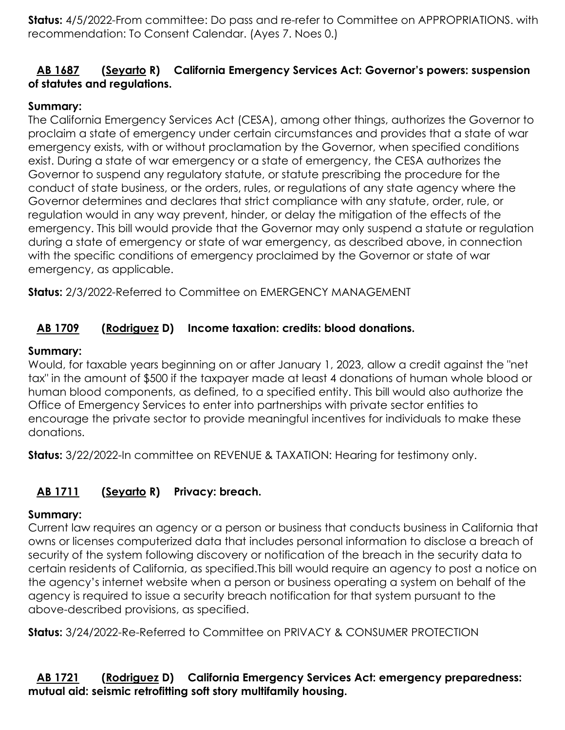**Status:** 4/5/2022-From committee: Do pass and re-refer to Committee on APPROPRIATIONS. with recommendation: To Consent Calendar. (Ayes 7. Noes 0.)

# **[AB 1687](https://ctweb.capitoltrack.com/public/publishbillinfo.aspx?bi=tFbZ0B7S02yu3OfuUeP6sXg%2fOIEOHZ6LaqNrxqmzlRPRRGyu7ELSJEi%2b8ZMK0jnj) [\(Seyarto](https://ad67.asmrc.org/) R) California Emergency Services Act: Governor's powers: suspension of statutes and regulations.**

#### **Summary:**

The California Emergency Services Act (CESA), among other things, authorizes the Governor to proclaim a state of emergency under certain circumstances and provides that a state of war emergency exists, with or without proclamation by the Governor, when specified conditions exist. During a state of war emergency or a state of emergency, the CESA authorizes the Governor to suspend any regulatory statute, or statute prescribing the procedure for the conduct of state business, or the orders, rules, or regulations of any state agency where the Governor determines and declares that strict compliance with any statute, order, rule, or regulation would in any way prevent, hinder, or delay the mitigation of the effects of the emergency. This bill would provide that the Governor may only suspend a statute or regulation during a state of emergency or state of war emergency, as described above, in connection with the specific conditions of emergency proclaimed by the Governor or state of war emergency, as applicable.

**Status:** 2/3/2022-Referred to Committee on EMERGENCY MANAGEMENT

# **[AB 1709](https://ctweb.capitoltrack.com/public/publishbillinfo.aspx?bi=VX9LTw7l21q6Br7gvchW6RXDDiRIBxwd0nmxea9z5tyYkvrnGQdviUHjA5Hm4fyE) [\(Rodriguez](https://a52.asmdc.org/) D) Income taxation: credits: blood donations.**

#### **Summary:**

Would, for taxable years beginning on or after January 1, 2023, allow a credit against the "net tax" in the amount of \$500 if the taxpayer made at least 4 donations of human whole blood or human blood components, as defined, to a specified entity. This bill would also authorize the Office of Emergency Services to enter into partnerships with private sector entities to encourage the private sector to provide meaningful incentives for individuals to make these donations.

**Status:** 3/22/2022-In committee on REVENUE & TAXATION: Hearing for testimony only.

# **[AB 1711](https://ctweb.capitoltrack.com/public/publishbillinfo.aspx?bi=VrgFw2s09%2btgTJ7ovL2EV4x1h6529gIRni7B4koVsKQGfpHutGzxzPcdOwAkwB9H) [\(Seyarto](https://ad67.asmrc.org/) R) Privacy: breach.**

# **Summary:**

Current law requires an agency or a person or business that conducts business in California that owns or licenses computerized data that includes personal information to disclose a breach of security of the system following discovery or notification of the breach in the security data to certain residents of California, as specified.This bill would require an agency to post a notice on the agency's internet website when a person or business operating a system on behalf of the agency is required to issue a security breach notification for that system pursuant to the above-described provisions, as specified.

**Status:** 3/24/2022-Re-Referred to Committee on PRIVACY & CONSUMER PROTECTION

# **[AB 1721](https://ctweb.capitoltrack.com/public/publishbillinfo.aspx?bi=uBj0S2Ye7%2b5xSagzLdxROFS0Z1mEOmaTQahrmK%2fWBDNvLYCJ9gYMoWcT5%2fc2FO1f) [\(Rodriguez](https://a52.asmdc.org/) D) California Emergency Services Act: emergency preparedness: mutual aid: seismic retrofitting soft story multifamily housing.**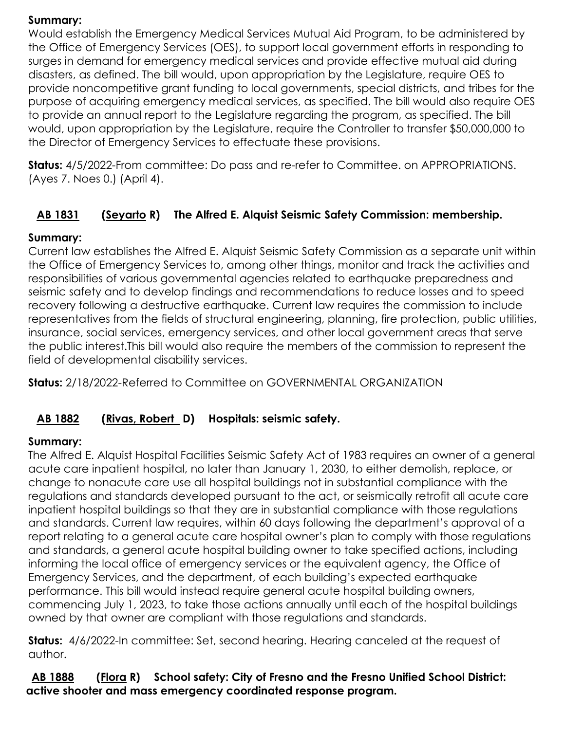#### **Summary:**

Would establish the Emergency Medical Services Mutual Aid Program, to be administered by the Office of Emergency Services (OES), to support local government efforts in responding to surges in demand for emergency medical services and provide effective mutual aid during disasters, as defined. The bill would, upon appropriation by the Legislature, require OES to provide noncompetitive grant funding to local governments, special districts, and tribes for the purpose of acquiring emergency medical services, as specified. The bill would also require OES to provide an annual report to the Legislature regarding the program, as specified. The bill would, upon appropriation by the Legislature, require the Controller to transfer \$50,000,000 to the Director of Emergency Services to effectuate these provisions.

**Status:** 4/5/2022-From committee: Do pass and re-refer to Committee. on APPROPRIATIONS. (Ayes 7. Noes 0.) (April 4).

# **[AB 1831](https://ctweb.capitoltrack.com/public/publishbillinfo.aspx?bi=jaQsqwCom%2bU3jDwSf0Qrqb4l3MMEy5Jwjw8ooJf9e0tPSSSRdRVTqNv0t50rZqqM) [\(Seyarto](https://ad67.asmrc.org/) R) The Alfred E. Alquist Seismic Safety Commission: membership.**

# **Summary:**

Current law establishes the Alfred E. Alquist Seismic Safety Commission as a separate unit within the Office of Emergency Services to, among other things, monitor and track the activities and responsibilities of various governmental agencies related to earthquake preparedness and seismic safety and to develop findings and recommendations to reduce losses and to speed recovery following a destructive earthquake. Current law requires the commission to include representatives from the fields of structural engineering, planning, fire protection, public utilities, insurance, social services, emergency services, and other local government areas that serve the public interest.This bill would also require the members of the commission to represent the field of developmental disability services.

**Status:** 2/18/2022-Referred to Committee on GOVERNMENTAL ORGANIZATION

# **[AB 1882](https://ctweb.capitoltrack.com/public/publishbillinfo.aspx?bi=5%2bakfVldhhKDGaRyK6y8cChePfiJWUS5jCp%2f45uX15nQlIrcDXdZ233oAq6zuFvF) [\(Rivas, Robert](https://a30.asmdc.org/) D) Hospitals: seismic safety.**

#### **Summary:**

The Alfred E. Alquist Hospital Facilities Seismic Safety Act of 1983 requires an owner of a general acute care inpatient hospital, no later than January 1, 2030, to either demolish, replace, or change to nonacute care use all hospital buildings not in substantial compliance with the regulations and standards developed pursuant to the act, or seismically retrofit all acute care inpatient hospital buildings so that they are in substantial compliance with those regulations and standards. Current law requires, within 60 days following the department's approval of a report relating to a general acute care hospital owner's plan to comply with those regulations and standards, a general acute hospital building owner to take specified actions, including informing the local office of emergency services or the equivalent agency, the Office of Emergency Services, and the department, of each building's expected earthquake performance. This bill would instead require general acute hospital building owners, commencing July 1, 2023, to take those actions annually until each of the hospital buildings owned by that owner are compliant with those regulations and standards.

**Status:** 4/6/2022-In committee: Set, second hearing. Hearing canceled at the request of author.

**[AB 1888](https://ctweb.capitoltrack.com/public/publishbillinfo.aspx?bi=5%2bakfVldhhKDGaRyK6y8cNqqUAAVl%2bTRSY1NDgU8LDE4Fm7TLVHln1t4OSIPCPSw) [\(Flora](https://ad12.asmrc.org/) R) School safety: City of Fresno and the Fresno Unified School District: active shooter and mass emergency coordinated response program.**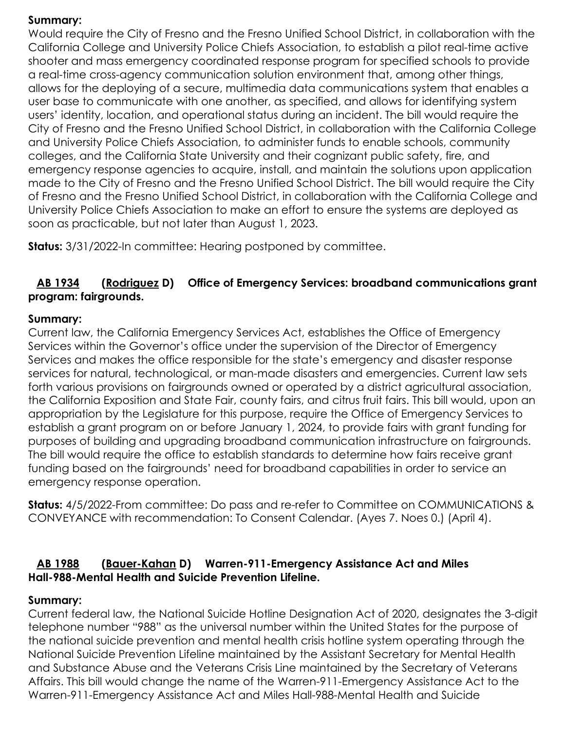#### **Summary:**

Would require the City of Fresno and the Fresno Unified School District, in collaboration with the California College and University Police Chiefs Association, to establish a pilot real-time active shooter and mass emergency coordinated response program for specified schools to provide a real-time cross-agency communication solution environment that, among other things, allows for the deploying of a secure, multimedia data communications system that enables a user base to communicate with one another, as specified, and allows for identifying system users' identity, location, and operational status during an incident. The bill would require the City of Fresno and the Fresno Unified School District, in collaboration with the California College and University Police Chiefs Association, to administer funds to enable schools, community colleges, and the California State University and their cognizant public safety, fire, and emergency response agencies to acquire, install, and maintain the solutions upon application made to the City of Fresno and the Fresno Unified School District. The bill would require the City of Fresno and the Fresno Unified School District, in collaboration with the California College and University Police Chiefs Association to make an effort to ensure the systems are deployed as soon as practicable, but not later than August 1, 2023.

**Status:** 3/31/2022-In committee: Hearing postponed by committee.

#### **[AB 1934](https://ctweb.capitoltrack.com/public/publishbillinfo.aspx?bi=7sOG7urhT8i0GuAepcv%2fXRfw1h%2boWqPwN2ohq3DQWaEhtTkv1vCkBGeyp9Eeul4F) [\(Rodriguez](https://a52.asmdc.org/) D) Office of Emergency Services: broadband communications grant program: fairgrounds.**

#### **Summary:**

Current law, the California Emergency Services Act, establishes the Office of Emergency Services within the Governor's office under the supervision of the Director of Emergency Services and makes the office responsible for the state's emergency and disaster response services for natural, technological, or man-made disasters and emergencies. Current law sets forth various provisions on fairgrounds owned or operated by a district agricultural association, the California Exposition and State Fair, county fairs, and citrus fruit fairs. This bill would, upon an appropriation by the Legislature for this purpose, require the Office of Emergency Services to establish a grant program on or before January 1, 2024, to provide fairs with grant funding for purposes of building and upgrading broadband communication infrastructure on fairgrounds. The bill would require the office to establish standards to determine how fairs receive grant funding based on the fairgrounds' need for broadband capabilities in order to service an emergency response operation.

**Status:** 4/5/2022-From committee: Do pass and re-refer to Committee on COMMUNICATIONS & CONVEYANCE with recommendation: To Consent Calendar. (Ayes 7. Noes 0.) (April 4).

#### **[AB 1988](https://ctweb.capitoltrack.com/public/publishbillinfo.aspx?bi=NKQo2AuozBRjXLe1pDoD%2bBfoohVPdeRazNynpji4VV4OVArOGZJjXtAuXrXoEpR8) [\(Bauer-Kahan](https://a16.asmdc.org/) D) Warren-911-Emergency Assistance Act and Miles Hall-988-Mental Health and Suicide Prevention Lifeline.**

#### **Summary:**

Current federal law, the National Suicide Hotline Designation Act of 2020, designates the 3-digit telephone number "988" as the universal number within the United States for the purpose of the national suicide prevention and mental health crisis hotline system operating through the National Suicide Prevention Lifeline maintained by the Assistant Secretary for Mental Health and Substance Abuse and the Veterans Crisis Line maintained by the Secretary of Veterans Affairs. This bill would change the name of the Warren-911-Emergency Assistance Act to the Warren-911-Emergency Assistance Act and Miles Hall-988-Mental Health and Suicide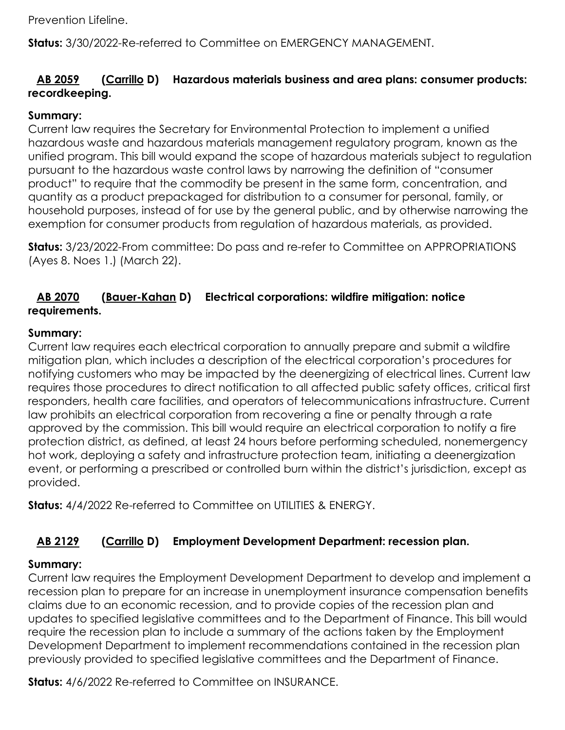Prevention Lifeline.

**Status:** 3/30/2022-Re-referred to Committee on EMERGENCY MANAGEMENT.

# **[AB 2059](https://ctweb.capitoltrack.com/public/publishbillinfo.aspx?bi=Ff7SBTlQFV3Uw3i61d36QfEn3jkz5BBr4Z0sHN5ZjwV9zzgFZ9QZ9tP5T5lY3Y%2fS) [\(Carrillo](https://a51.asmdc.org/) D) Hazardous materials business and area plans: consumer products: recordkeeping.**

#### **Summary:**

Current law requires the Secretary for Environmental Protection to implement a unified hazardous waste and hazardous materials management regulatory program, known as the unified program. This bill would expand the scope of hazardous materials subject to regulation pursuant to the hazardous waste control laws by narrowing the definition of "consumer product" to require that the commodity be present in the same form, concentration, and quantity as a product prepackaged for distribution to a consumer for personal, family, or household purposes, instead of for use by the general public, and by otherwise narrowing the exemption for consumer products from regulation of hazardous materials, as provided.

**Status:** 3/23/2022-From committee: Do pass and re-refer to Committee on APPROPRIATIONS (Ayes 8. Noes 1.) (March 22).

#### **[AB 2070](https://ctweb.capitoltrack.com/public/publishbillinfo.aspx?bi=n4h5RmWY0ag6cqXZNqYZ0i7jFVvzvaKO%2fzTaYctv3f%2brzeCuVMkM%2b9Rmn6vAH19D) [\(Bauer-Kahan](https://a16.asmdc.org/) D) Electrical corporations: wildfire mitigation: notice requirements.**

#### **Summary:**

Current law requires each electrical corporation to annually prepare and submit a wildfire mitigation plan, which includes a description of the electrical corporation's procedures for notifying customers who may be impacted by the deenergizing of electrical lines. Current law requires those procedures to direct notification to all affected public safety offices, critical first responders, health care facilities, and operators of telecommunications infrastructure. Current law prohibits an electrical corporation from recovering a fine or penalty through a rate approved by the commission. This bill would require an electrical corporation to notify a fire protection district, as defined, at least 24 hours before performing scheduled, nonemergency hot work, deploying a safety and infrastructure protection team, initiating a deenergization event, or performing a prescribed or controlled burn within the district's jurisdiction, except as provided.

**Status:** 4/4/2022 Re-referred to Committee on UTILITIES & ENERGY.

# **[AB 2129](https://ctweb.capitoltrack.com/public/publishbillinfo.aspx?bi=TeR8UyveEJgE6zIVp9xwnSh2FwFOZLQHNzArNGlMWSSc5mH4TO4JrYofgDE7pdFZ) [\(Carrillo](https://a51.asmdc.org/) D) Employment Development Department: recession plan.**

#### **Summary:**

Current law requires the Employment Development Department to develop and implement a recession plan to prepare for an increase in unemployment insurance compensation benefits claims due to an economic recession, and to provide copies of the recession plan and updates to specified legislative committees and to the Department of Finance. This bill would require the recession plan to include a summary of the actions taken by the Employment Development Department to implement recommendations contained in the recession plan previously provided to specified legislative committees and the Department of Finance.

**Status:** 4/6/2022 Re-referred to Committee on INSURANCE.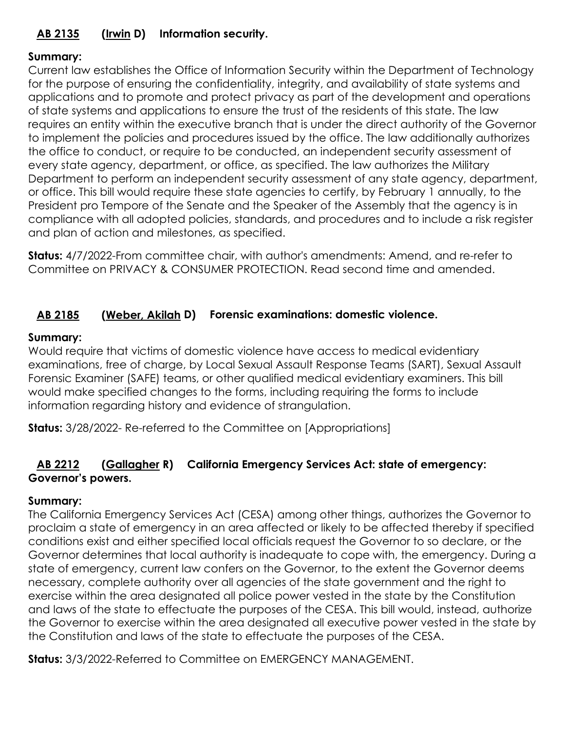# **[AB 2135](https://ctweb.capitoltrack.com/public/publishbillinfo.aspx?bi=buME%2fOarjbTgo6hVajcFlAOsIYtFwjupyvuThQhuCyn3NysyFenWdlXmfaNe9nai) [\(Irwin](https://a44.asmdc.org/) D) Information security.**

#### **Summary:**

Current law establishes the Office of Information Security within the Department of Technology for the purpose of ensuring the confidentiality, integrity, and availability of state systems and applications and to promote and protect privacy as part of the development and operations of state systems and applications to ensure the trust of the residents of this state. The law requires an entity within the executive branch that is under the direct authority of the Governor to implement the policies and procedures issued by the office. The law additionally authorizes the office to conduct, or require to be conducted, an independent security assessment of every state agency, department, or office, as specified. The law authorizes the Military Department to perform an independent security assessment of any state agency, department, or office. This bill would require these state agencies to certify, by February 1 annually, to the President pro Tempore of the Senate and the Speaker of the Assembly that the agency is in compliance with all adopted policies, standards, and procedures and to include a risk register and plan of action and milestones, as specified.

**Status:** 4/7/2022-From committee chair, with author's amendments: Amend, and re-refer to Committee on PRIVACY & CONSUMER PROTECTION. Read second time and amended.

# **[AB 2185](https://ctweb.capitoltrack.com/public/publishbillinfo.aspx?bi=yu%2f%2bRz8HV8S9DZlHZcnkCZLQIGtscvfJyWuXKo1D3sHk4WRz4AqIwR5RtUOiY4lF) [\(Weber, Akilah](https://a79.asmdc.org/) D) Forensic examinations: domestic violence.**

#### **Summary:**

Would require that victims of domestic violence have access to medical evidentiary examinations, free of charge, by Local Sexual Assault Response Teams (SART), Sexual Assault Forensic Examiner (SAFE) teams, or other qualified medical evidentiary examiners. This bill would make specified changes to the forms, including requiring the forms to include information regarding history and evidence of strangulation.

**Status:** 3/28/2022- Re-referred to the Committee on [Appropriations]

#### **[AB 2212](https://ctweb.capitoltrack.com/public/publishbillinfo.aspx?bi=3VntDL4IgtBtKhBvWGYw33LfmauXheUGKDwRpUMOpgg%2bmgP2uHrKUXPnbenN8%2bly) [\(Gallagher](http://ad03.asmrc.org/) R) California Emergency Services Act: state of emergency: Governor's powers.**

#### **Summary:**

The California Emergency Services Act (CESA) among other things, authorizes the Governor to proclaim a state of emergency in an area affected or likely to be affected thereby if specified conditions exist and either specified local officials request the Governor to so declare, or the Governor determines that local authority is inadequate to cope with, the emergency. During a state of emergency, current law confers on the Governor, to the extent the Governor deems necessary, complete authority over all agencies of the state government and the right to exercise within the area designated all police power vested in the state by the Constitution and laws of the state to effectuate the purposes of the CESA. This bill would, instead, authorize the Governor to exercise within the area designated all executive power vested in the state by the Constitution and laws of the state to effectuate the purposes of the CESA.

**Status:** 3/3/2022-Referred to Committee on EMERGENCY MANAGEMENT.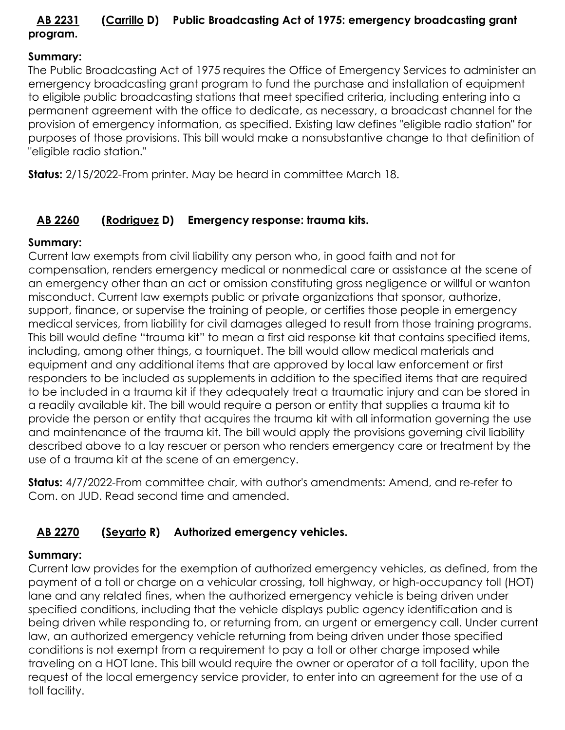# **[AB 2231](https://ctweb.capitoltrack.com/public/publishbillinfo.aspx?bi=XAhGfjAPMgXTNmKZkoQ68cMk%2bBp9ZwttDVBDntsOhpmOHFjhphgoLqWl56Y6BH%2bc) [\(Carrillo](https://a51.asmdc.org/) D) Public Broadcasting Act of 1975: emergency broadcasting grant program.**

#### **Summary:**

The Public Broadcasting Act of 1975 requires the Office of Emergency Services to administer an emergency broadcasting grant program to fund the purchase and installation of equipment to eligible public broadcasting stations that meet specified criteria, including entering into a permanent agreement with the office to dedicate, as necessary, a broadcast channel for the provision of emergency information, as specified. Existing law defines "eligible radio station" for purposes of those provisions. This bill would make a nonsubstantive change to that definition of "eligible radio station."

**Status:** 2/15/2022-From printer. May be heard in committee March 18.

# **[AB 2260](https://ctweb.capitoltrack.com/public/publishbillinfo.aspx?bi=0q7D%2f1pz5nHoU%2f50V%2faNKZYu578cuN%2fNZyATelTcBIwhpKI0MIkI1J0%2blpb9XVno) [\(Rodriguez](https://a52.asmdc.org/) D) Emergency response: trauma kits.**

#### **Summary:**

Current law exempts from civil liability any person who, in good faith and not for compensation, renders emergency medical or nonmedical care or assistance at the scene of an emergency other than an act or omission constituting gross negligence or willful or wanton misconduct. Current law exempts public or private organizations that sponsor, authorize, support, finance, or supervise the training of people, or certifies those people in emergency medical services, from liability for civil damages alleged to result from those training programs. This bill would define "trauma kit" to mean a first aid response kit that contains specified items, including, among other things, a tourniquet. The bill would allow medical materials and equipment and any additional items that are approved by local law enforcement or first responders to be included as supplements in addition to the specified items that are required to be included in a trauma kit if they adequately treat a traumatic injury and can be stored in a readily available kit. The bill would require a person or entity that supplies a trauma kit to provide the person or entity that acquires the trauma kit with all information governing the use and maintenance of the trauma kit. The bill would apply the provisions governing civil liability described above to a lay rescuer or person who renders emergency care or treatment by the use of a trauma kit at the scene of an emergency.

**Status:** 4/7/2022-From committee chair, with author's amendments: Amend, and re-refer to Com. on JUD. Read second time and amended.

# **[AB 2270](https://ctweb.capitoltrack.com/public/publishbillinfo.aspx?bi=80Xu6rmjfPH2jLao8NZOij5O9eckg6DF8ns1c2R6SQYWcTUpRPHVq5jbtLOAYo7U) [\(Seyarto](https://ad67.asmrc.org/) R) Authorized emergency vehicles.**

# **Summary:**

Current law provides for the exemption of authorized emergency vehicles, as defined, from the payment of a toll or charge on a vehicular crossing, toll highway, or high-occupancy toll (HOT) lane and any related fines, when the authorized emergency vehicle is being driven under specified conditions, including that the vehicle displays public agency identification and is being driven while responding to, or returning from, an urgent or emergency call. Under current law, an authorized emergency vehicle returning from being driven under those specified conditions is not exempt from a requirement to pay a toll or other charge imposed while traveling on a HOT lane. This bill would require the owner or operator of a toll facility, upon the request of the local emergency service provider, to enter into an agreement for the use of a toll facility.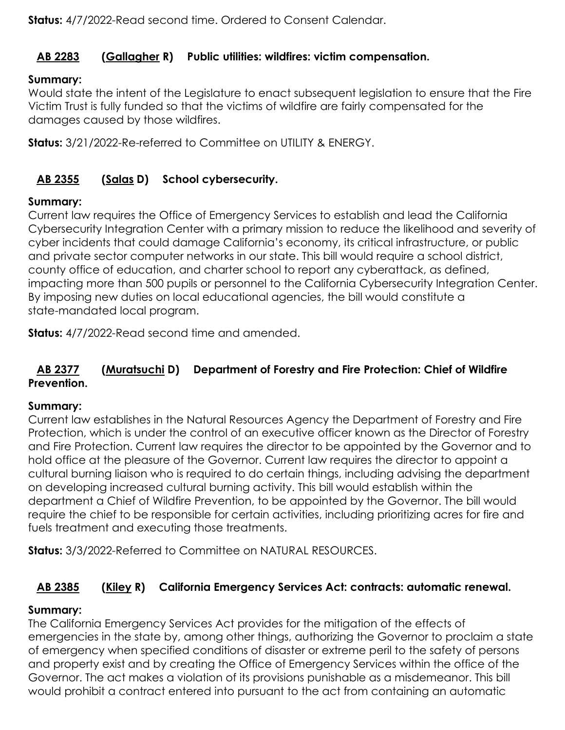**Status:** 4/7/2022-Read second time. Ordered to Consent Calendar.

# **[AB 2283](https://ctweb.capitoltrack.com/public/publishbillinfo.aspx?bi=AguN%2fipxieQXzC9trAnkTJzbh2xocE5CjDaYFXDDhtC4f7RFfVQsW5bzBNU7I9Tc) [\(Gallagher](http://ad03.asmrc.org/) R) Public utilities: wildfires: victim compensation.**

# **Summary:**

Would state the intent of the Legislature to enact subsequent legislation to ensure that the Fire Victim Trust is fully funded so that the victims of wildfire are fairly compensated for the damages caused by those wildfires.

**Status:** 3/21/2022-Re-referred to Committee on UTILITY & ENERGY.

# **[AB 2355](https://ctweb.capitoltrack.com/public/publishbillinfo.aspx?bi=djLJLTOQ5LBvd2QBRrQtAk%2b1FTqoHha7%2flC06CABwFWcVhTHQBF5jYbRHZHNHn%2bz) [\(Salas](https://a32.asmdc.org/) D) School cybersecurity.**

#### **Summary:**

Current law requires the Office of Emergency Services to establish and lead the California Cybersecurity Integration Center with a primary mission to reduce the likelihood and severity of cyber incidents that could damage California's economy, its critical infrastructure, or public and private sector computer networks in our state. This bill would require a school district, county office of education, and charter school to report any cyberattack, as defined, impacting more than 500 pupils or personnel to the California Cybersecurity Integration Center. By imposing new duties on local educational agencies, the bill would constitute a state-mandated local program.

**Status:** 4/7/2022-Read second time and amended.

#### **[AB 2377](https://ctweb.capitoltrack.com/public/publishbillinfo.aspx?bi=54HgbxLdDtJQFeZolV4cgR2h0mRjygLwFY3%2bfAo9OwpBpCJZ62v7K6EMABhMv5kM) [\(Muratsuchi](https://a66.asmdc.org/) D) Department of Forestry and Fire Protection: Chief of Wildfire Prevention.**

#### **Summary:**

Current law establishes in the Natural Resources Agency the Department of Forestry and Fire Protection, which is under the control of an executive officer known as the Director of Forestry and Fire Protection. Current law requires the director to be appointed by the Governor and to hold office at the pleasure of the Governor. Current law requires the director to appoint a cultural burning liaison who is required to do certain things, including advising the department on developing increased cultural burning activity. This bill would establish within the department a Chief of Wildfire Prevention, to be appointed by the Governor. The bill would require the chief to be responsible for certain activities, including prioritizing acres for fire and fuels treatment and executing those treatments.

**Status:** 3/3/2022-Referred to Committee on NATURAL RESOURCES.

# **[AB 2385](https://ctweb.capitoltrack.com/public/publishbillinfo.aspx?bi=fMfPWK19uX9FMZ5a3lpyzIcL4ZKg37%2bwZqLyZL2tkfIw93gqiHkLGRtPQKJZt3Xl) [\(Kiley](https://ad06.asmrc.org/) R) California Emergency Services Act: contracts: automatic renewal.**

#### **Summary:**

The California Emergency Services Act provides for the mitigation of the effects of emergencies in the state by, among other things, authorizing the Governor to proclaim a state of emergency when specified conditions of disaster or extreme peril to the safety of persons and property exist and by creating the Office of Emergency Services within the office of the Governor. The act makes a violation of its provisions punishable as a misdemeanor. This bill would prohibit a contract entered into pursuant to the act from containing an automatic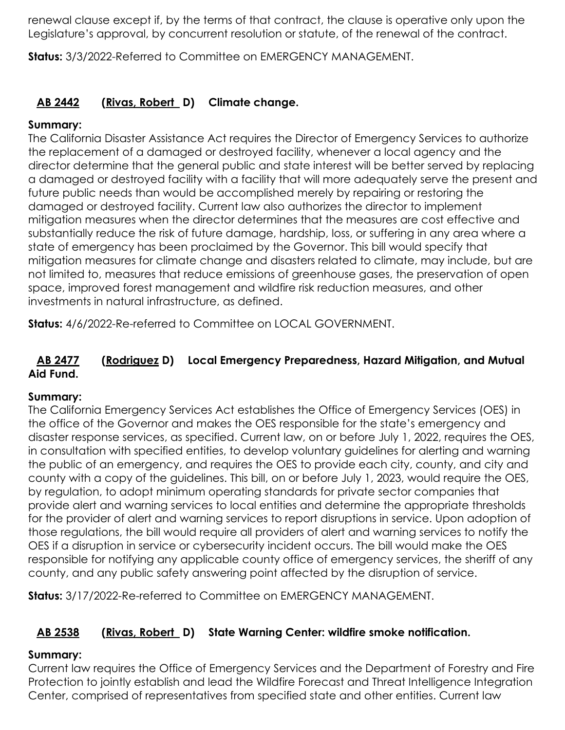renewal clause except if, by the terms of that contract, the clause is operative only upon the Legislature's approval, by concurrent resolution or statute, of the renewal of the contract.

**Status:** 3/3/2022-Referred to Committee on EMERGENCY MANAGEMENT.

# **[AB 2442](https://ctweb.capitoltrack.com/public/publishbillinfo.aspx?bi=lv%2fHbTN6%2fnCZs%2bcqN4RGbzyuAQld5zRoirdtglgTjEVMC8mzeY8Ji9IcbM4jIVyb) [\(Rivas, Robert](https://a30.asmdc.org/) D) Climate change.**

#### **Summary:**

The California Disaster Assistance Act requires the Director of Emergency Services to authorize the replacement of a damaged or destroyed facility, whenever a local agency and the director determine that the general public and state interest will be better served by replacing a damaged or destroyed facility with a facility that will more adequately serve the present and future public needs than would be accomplished merely by repairing or restoring the damaged or destroyed facility. Current law also authorizes the director to implement mitigation measures when the director determines that the measures are cost effective and substantially reduce the risk of future damage, hardship, loss, or suffering in any area where a state of emergency has been proclaimed by the Governor. This bill would specify that mitigation measures for climate change and disasters related to climate, may include, but are not limited to, measures that reduce emissions of greenhouse gases, the preservation of open space, improved forest management and wildfire risk reduction measures, and other investments in natural infrastructure, as defined.

**Status:** 4/6/2022-Re-referred to Committee on LOCAL GOVERNMENT.

# **[AB 2477](https://ctweb.capitoltrack.com/public/publishbillinfo.aspx?bi=crAzwGzcW4aUGMoGYzRNiUwPHCrBIzbFdGIqiuAifCuxb4x0yKIJ7yZ5IGU7L9Bj) [\(Rodriguez](https://a52.asmdc.org/) D) Local Emergency Preparedness, Hazard Mitigation, and Mutual Aid Fund.**

#### **Summary:**

The California Emergency Services Act establishes the Office of Emergency Services (OES) in the office of the Governor and makes the OES responsible for the state's emergency and disaster response services, as specified. Current law, on or before July 1, 2022, requires the OES, in consultation with specified entities, to develop voluntary guidelines for alerting and warning the public of an emergency, and requires the OES to provide each city, county, and city and county with a copy of the guidelines. This bill, on or before July 1, 2023, would require the OES, by regulation, to adopt minimum operating standards for private sector companies that provide alert and warning services to local entities and determine the appropriate thresholds for the provider of alert and warning services to report disruptions in service. Upon adoption of those regulations, the bill would require all providers of alert and warning services to notify the OES if a disruption in service or cybersecurity incident occurs. The bill would make the OES responsible for notifying any applicable county office of emergency services, the sheriff of any county, and any public safety answering point affected by the disruption of service.

**Status:** 3/17/2022-Re-referred to Committee on EMERGENCY MANAGEMENT.

# **[AB 2538](https://ctweb.capitoltrack.com/public/publishbillinfo.aspx?bi=355uM%2bvLU9mPw5%2bL%2fDrsMz3sgvPjIZ5fagXAKCk9TX%2b%2boZ%2bvVk79F5gDTSrsSpRi) [\(Rivas, Robert](https://a30.asmdc.org/) D) State Warning Center: wildfire smoke notification.**

#### **Summary:**

Current law requires the Office of Emergency Services and the Department of Forestry and Fire Protection to jointly establish and lead the Wildfire Forecast and Threat Intelligence Integration Center, comprised of representatives from specified state and other entities. Current law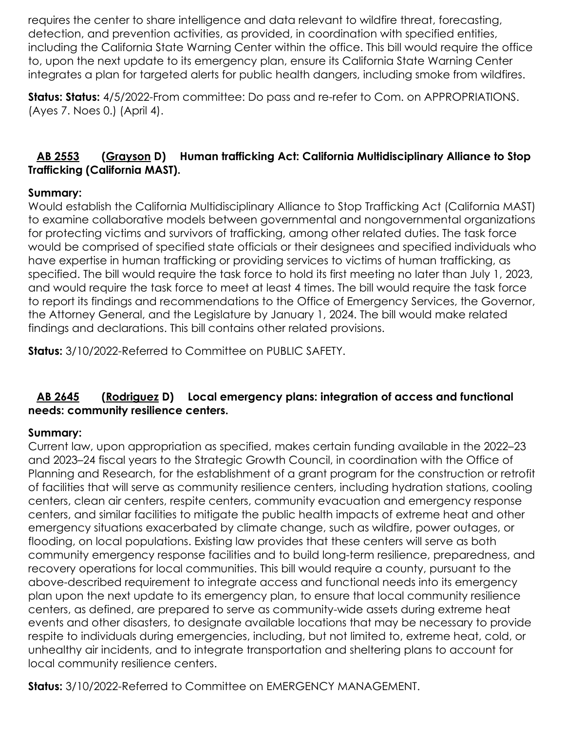requires the center to share intelligence and data relevant to wildfire threat, forecasting, detection, and prevention activities, as provided, in coordination with specified entities, including the California State Warning Center within the office. This bill would require the office to, upon the next update to its emergency plan, ensure its California State Warning Center integrates a plan for targeted alerts for public health dangers, including smoke from wildfires.

**Status: Status:** 4/5/2022-From committee: Do pass and re-refer to Com. on APPROPRIATIONS. (Ayes 7. Noes 0.) (April 4).

# **[AB 2553](https://ctweb.capitoltrack.com/public/publishbillinfo.aspx?bi=g%2b%2bV7y9aMMASJdy28nZCDiqKqi629v45p0dRwZQPgUaetrKSXnsVvNwTZDyQ%2fBsu) [\(Grayson](https://a14.asmdc.org/) D) Human trafficking Act: California Multidisciplinary Alliance to Stop Trafficking (California MAST).**

#### **Summary:**

Would establish the California Multidisciplinary Alliance to Stop Trafficking Act (California MAST) to examine collaborative models between governmental and nongovernmental organizations for protecting victims and survivors of trafficking, among other related duties. The task force would be comprised of specified state officials or their designees and specified individuals who have expertise in human trafficking or providing services to victims of human trafficking, as specified. The bill would require the task force to hold its first meeting no later than July 1, 2023, and would require the task force to meet at least 4 times. The bill would require the task force to report its findings and recommendations to the Office of Emergency Services, the Governor, the Attorney General, and the Legislature by January 1, 2024. The bill would make related findings and declarations. This bill contains other related provisions.

**Status:** 3/10/2022-Referred to Committee on PUBLIC SAFETY.

#### **[AB 2645](https://ctweb.capitoltrack.com/public/publishbillinfo.aspx?bi=h1hogcEyfMamaZaYjZipXFGbhZ0H9znmqya1uhqLcVwLtHqtFyWeX%2byMUyUCcNSO) [\(Rodriguez](https://a52.asmdc.org/) D) Local emergency plans: integration of access and functional needs: community resilience centers.**

#### **Summary:**

Current law, upon appropriation as specified, makes certain funding available in the 2022–23 and 2023–24 fiscal years to the Strategic Growth Council, in coordination with the Office of Planning and Research, for the establishment of a grant program for the construction or retrofit of facilities that will serve as community resilience centers, including hydration stations, cooling centers, clean air centers, respite centers, community evacuation and emergency response centers, and similar facilities to mitigate the public health impacts of extreme heat and other emergency situations exacerbated by climate change, such as wildfire, power outages, or flooding, on local populations. Existing law provides that these centers will serve as both community emergency response facilities and to build long-term resilience, preparedness, and recovery operations for local communities. This bill would require a county, pursuant to the above-described requirement to integrate access and functional needs into its emergency plan upon the next update to its emergency plan, to ensure that local community resilience centers, as defined, are prepared to serve as community-wide assets during extreme heat events and other disasters, to designate available locations that may be necessary to provide respite to individuals during emergencies, including, but not limited to, extreme heat, cold, or unhealthy air incidents, and to integrate transportation and sheltering plans to account for local community resilience centers.

**Status:** 3/10/2022-Referred to Committee on EMERGENCY MANAGEMENT.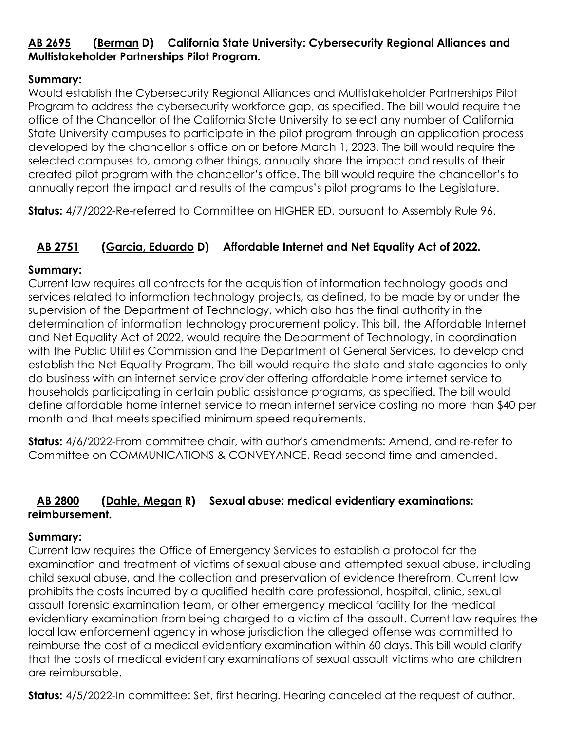# **[AB 2695](https://ctweb.capitoltrack.com/public/publishbillinfo.aspx?bi=hxT82UOyTxlzhvuTTUfmXZ3XM1HUXLum1fT1iXfsUFePa2J87QJ3XEi7cstQPUsR) [\(Berman](https://a24.asmdc.org/) D) California State University: Cybersecurity Regional Alliances and Multistakeholder Partnerships Pilot Program.**

#### **Summary:**

Would establish the Cybersecurity Regional Alliances and Multistakeholder Partnerships Pilot Program to address the cybersecurity workforce gap, as specified. The bill would require the office of the Chancellor of the California State University to select any number of California State University campuses to participate in the pilot program through an application process developed by the chancellor's office on or before March 1, 2023. The bill would require the selected campuses to, among other things, annually share the impact and results of their created pilot program with the chancellor's office. The bill would require the chancellor's to annually report the impact and results of the campus's pilot programs to the Legislature.

**Status:** 4/7/2022-Re-referred to Committee on HIGHER ED. pursuant to Assembly Rule 96.

# **[AB 2751](https://ctweb.capitoltrack.com/public/publishbillinfo.aspx?bi=dU%2ffCsvr4d3iI4SZ0bnMMnJ8BI9D4lvD5LNd75jfteUnM85kPEU9YJi94C94mtm5) [\(Garcia, Eduardo](https://a56.asmdc.org/) D) Affordable Internet and Net Equality Act of 2022.**

#### **Summary:**

Current law requires all contracts for the acquisition of information technology goods and services related to information technology projects, as defined, to be made by or under the supervision of the Department of Technology, which also has the final authority in the determination of information technology procurement policy. This bill, the Affordable Internet and Net Equality Act of 2022, would require the Department of Technology, in coordination with the Public Utilities Commission and the Department of General Services, to develop and establish the Net Equality Program. The bill would require the state and state agencies to only do business with an internet service provider offering affordable home internet service to households participating in certain public assistance programs, as specified. The bill would define affordable home internet service to mean internet service costing no more than \$40 per month and that meets specified minimum speed requirements.

**Status:** 4/6/2022-From committee chair, with author's amendments: Amend, and re-refer to Committee on COMMUNICATIONS & CONVEYANCE. Read second time and amended.

# **[AB 2800](https://ctweb.capitoltrack.com/public/publishbillinfo.aspx?bi=jiZaEUwgDTFscGMoaKzbT1GXxTg%2ffwjmrDTOOcP%2f8c7QuNoB0%2fUTOvZRmcGNOVoP) [\(Dahle, Megan](https://ad01.asmrc.org/) R) Sexual abuse: medical evidentiary examinations: reimbursement.**

#### **Summary:**

Current law requires the Office of Emergency Services to establish a protocol for the examination and treatment of victims of sexual abuse and attempted sexual abuse, including child sexual abuse, and the collection and preservation of evidence therefrom. Current law prohibits the costs incurred by a qualified health care professional, hospital, clinic, sexual assault forensic examination team, or other emergency medical facility for the medical evidentiary examination from being charged to a victim of the assault. Current law requires the local law enforcement agency in whose jurisdiction the alleged offense was committed to reimburse the cost of a medical evidentiary examination within 60 days. This bill would clarify that the costs of medical evidentiary examinations of sexual assault victims who are children are reimbursable.

**Status:** 4/5/2022-In committee: Set, first hearing. Hearing canceled at the request of author.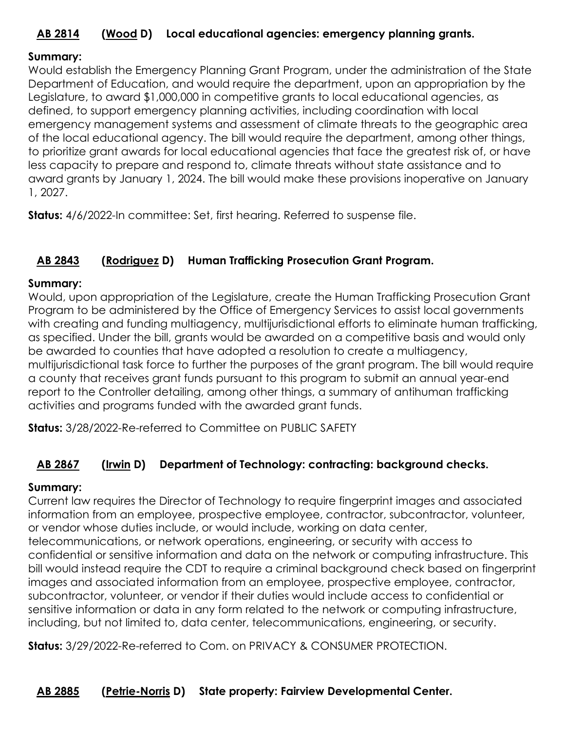# **[AB 2814](https://ctweb.capitoltrack.com/public/publishbillinfo.aspx?bi=ildptasBHYkpmduiAXy1L6B40GObW10%2fe7bcM%2b9xgVRqp%2fSBqZzCyTRW3mnEOHn8) [\(Wood](https://a02.asmdc.org/) D) Local educational agencies: emergency planning grants.**

#### **Summary:**

Would establish the Emergency Planning Grant Program, under the administration of the State Department of Education, and would require the department, upon an appropriation by the Legislature, to award \$1,000,000 in competitive grants to local educational agencies, as defined, to support emergency planning activities, including coordination with local emergency management systems and assessment of climate threats to the geographic area of the local educational agency. The bill would require the department, among other things, to prioritize grant awards for local educational agencies that face the greatest risk of, or have less capacity to prepare and respond to, climate threats without state assistance and to award grants by January 1, 2024. The bill would make these provisions inoperative on January 1, 2027.

**Status:** 4/6/2022-In committee: Set, first hearing. Referred to suspense file.

#### **[AB 2843](https://ctweb.capitoltrack.com/public/publishbillinfo.aspx?bi=UEgTRi1uo09nJvlcmctHQx3fgTGi6nIHhZZLWBc5PWult%2bbvki27SLro6g8CH%2f1%2b) [\(Rodriguez](https://a52.asmdc.org/) D) Human Trafficking Prosecution Grant Program.**

#### **Summary:**

Would, upon appropriation of the Legislature, create the Human Trafficking Prosecution Grant Program to be administered by the Office of Emergency Services to assist local governments with creating and funding multiagency, multijurisdictional efforts to eliminate human trafficking, as specified. Under the bill, grants would be awarded on a competitive basis and would only be awarded to counties that have adopted a resolution to create a multiagency, multijurisdictional task force to further the purposes of the grant program. The bill would require a county that receives grant funds pursuant to this program to submit an annual year-end report to the Controller detailing, among other things, a summary of antihuman trafficking activities and programs funded with the awarded grant funds.

**Status:** 3/28/2022-Re-referred to Committee on PUBLIC SAFETY

#### **[AB 2867](https://ctweb.capitoltrack.com/public/publishbillinfo.aspx?bi=P8QKFS6KZAi9nfM67WqPcHH4Ldy15IFgrWSU7xsAjeSTZ6YE80CH%2bQ7YWyh4fXxN) [\(Irwin](https://a44.asmdc.org/) D) Department of Technology: contracting: background checks.**

#### **Summary:**

Current law requires the Director of Technology to require fingerprint images and associated information from an employee, prospective employee, contractor, subcontractor, volunteer, or vendor whose duties include, or would include, working on data center, telecommunications, or network operations, engineering, or security with access to confidential or sensitive information and data on the network or computing infrastructure. This bill would instead require the CDT to require a criminal background check based on fingerprint images and associated information from an employee, prospective employee, contractor, subcontractor, volunteer, or vendor if their duties would include access to confidential or sensitive information or data in any form related to the network or computing infrastructure, including, but not limited to, data center, telecommunications, engineering, or security.

**Status:** 3/29/2022-Re-referred to Com. on PRIVACY & CONSUMER PROTECTION.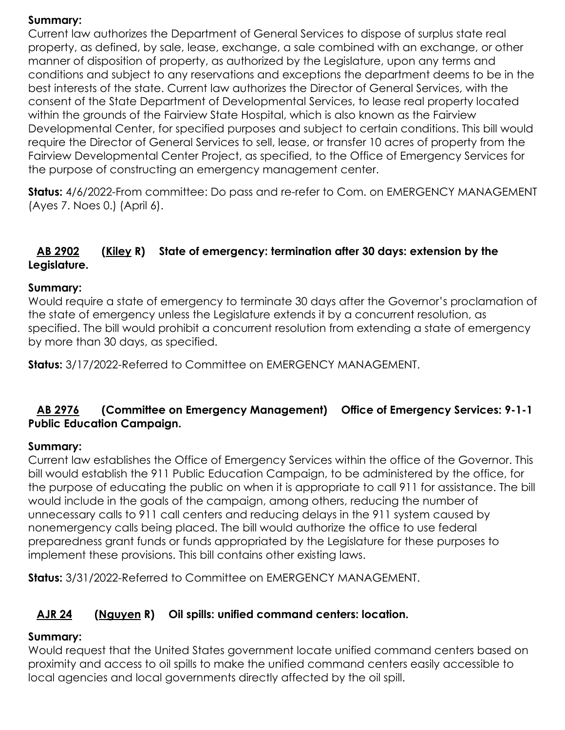#### **Summary:**

Current law authorizes the Department of General Services to dispose of surplus state real property, as defined, by sale, lease, exchange, a sale combined with an exchange, or other manner of disposition of property, as authorized by the Legislature, upon any terms and conditions and subject to any reservations and exceptions the department deems to be in the best interests of the state. Current law authorizes the Director of General Services, with the consent of the State Department of Developmental Services, to lease real property located within the grounds of the Fairview State Hospital, which is also known as the Fairview Developmental Center, for specified purposes and subject to certain conditions. This bill would require the Director of General Services to sell, lease, or transfer 10 acres of property from the Fairview Developmental Center Project, as specified, to the Office of Emergency Services for the purpose of constructing an emergency management center.

**Status:** 4/6/2022-From committee: Do pass and re-refer to Com. on EMERGENCY MANAGEMENT (Ayes 7. Noes 0.) (April 6).

#### **[AB 2902](https://ctweb.capitoltrack.com/public/publishbillinfo.aspx?bi=yPjG8eo8sTdZ%2f4ZZmUrLR5A7B4HeDXo5Vc9jYURYQDqCV05n2lFR6LGT7qbjv0oM) [\(Kiley](https://ad06.asmrc.org/) R) State of emergency: termination after 30 days: extension by the Legislature.**

#### **Summary:**

Would require a state of emergency to terminate 30 days after the Governor's proclamation of the state of emergency unless the Legislature extends it by a concurrent resolution, as specified. The bill would prohibit a concurrent resolution from extending a state of emergency by more than 30 days, as specified.

**Status:** 3/17/2022-Referred to Committee on EMERGENCY MANAGEMENT.

#### **[AB 2976](https://ctweb.capitoltrack.com/public/publishbillinfo.aspx?bi=qGI9YgTvlAqZA7%2fNkBv2runobVv%2bEMXID6jH9kU4sDIJSAFJmD1v2xohegQaSG%2fD) (Committee on Emergency Management) Office of Emergency Services: 9-1-1 Public Education Campaign.**

#### **Summary:**

Current law establishes the Office of Emergency Services within the office of the Governor. This bill would establish the 911 Public Education Campaign, to be administered by the office, for the purpose of educating the public on when it is appropriate to call 911 for assistance. The bill would include in the goals of the campaign, among others, reducing the number of unnecessary calls to 911 call centers and reducing delays in the 911 system caused by nonemergency calls being placed. The bill would authorize the office to use federal preparedness grant funds or funds appropriated by the Legislature for these purposes to implement these provisions. This bill contains other existing laws.

**Status:** 3/31/2022-Referred to Committee on EMERGENCY MANAGEMENT.

# **[AJR 24](https://ctweb.capitoltrack.com/public/publishbillinfo.aspx?bi=s%2fnDB4Qa7%2bSw6N51E5nA8jEqXxTDXYfJ4UEdvEQxW7xyIHG4bhVlHS5k4SO6JOCK) [\(Nguyen](https://ad72.asmrc.org/) R) Oil spills: unified command centers: location.**

#### **Summary:**

Would request that the United States government locate unified command centers based on proximity and access to oil spills to make the unified command centers easily accessible to local agencies and local governments directly affected by the oil spill.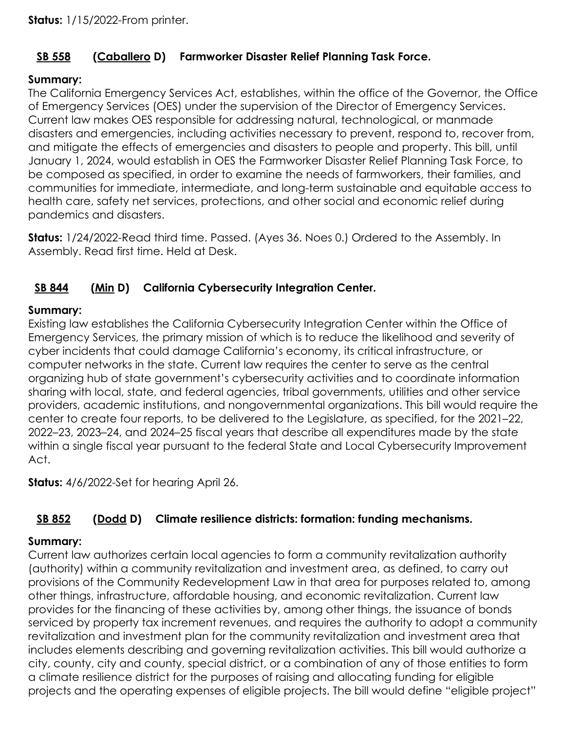# **[SB 558](https://ctweb.capitoltrack.com/public/publishbillinfo.aspx?bi=QiyQH864zGJwdseZ6d892smq4q0%2bb3fkRDRYgHUwzo5qDV8rkgFCJM%2fFTSxdKPRK) [\(Caballero](https://sd12.senate.ca.gov/) D) Farmworker Disaster Relief Planning Task Force.**

# **Summary:**

The California Emergency Services Act, establishes, within the office of the Governor, the Office of Emergency Services (OES) under the supervision of the Director of Emergency Services. Current law makes OES responsible for addressing natural, technological, or manmade disasters and emergencies, including activities necessary to prevent, respond to, recover from, and mitigate the effects of emergencies and disasters to people and property. This bill, until January 1, 2024, would establish in OES the Farmworker Disaster Relief Planning Task Force, to be composed as specified, in order to examine the needs of farmworkers, their families, and communities for immediate, intermediate, and long-term sustainable and equitable access to health care, safety net services, protections, and other social and economic relief during pandemics and disasters.

**Status:** 1/24/2022-Read third time. Passed. (Ayes 36. Noes 0.) Ordered to the Assembly. In Assembly. Read first time. Held at Desk.

# **[SB 844](https://ctweb.capitoltrack.com/public/publishbillinfo.aspx?bi=gyKomEsBKCJtYeGH3FlnHW1bjn6plWNDjMBb3STOTU6ief82ld%2f4wfZ8RYes0Zok) [\(Min](https://sd37.senate.ca.gov/) D) California Cybersecurity Integration Center.**

#### **Summary:**

Existing law establishes the California Cybersecurity Integration Center within the Office of Emergency Services, the primary mission of which is to reduce the likelihood and severity of cyber incidents that could damage California's economy, its critical infrastructure, or computer networks in the state. Current law requires the center to serve as the central organizing hub of state government's cybersecurity activities and to coordinate information sharing with local, state, and federal agencies, tribal governments, utilities and other service providers, academic institutions, and nongovernmental organizations. This bill would require the center to create four reports, to be delivered to the Legislature, as specified, for the 2021–22, 2022–23, 2023–24, and 2024–25 fiscal years that describe all expenditures made by the state within a single fiscal year pursuant to the federal State and Local Cybersecurity Improvement Act.

**Status:** 4/6/2022-Set for hearing April 26.

# **[SB 852](https://ctweb.capitoltrack.com/public/publishbillinfo.aspx?bi=PDajb8HElyCNqjVpOXa1XkobEHMSdNQZ2C9QzvgNmJDM6ompqoks1JrUUBe1B972) [\(Dodd](http://sd03.senate.ca.gov/) D) Climate resilience districts: formation: funding mechanisms.**

# **Summary:**

Current law authorizes certain local agencies to form a community revitalization authority (authority) within a community revitalization and investment area, as defined, to carry out provisions of the Community Redevelopment Law in that area for purposes related to, among other things, infrastructure, affordable housing, and economic revitalization. Current law provides for the financing of these activities by, among other things, the issuance of bonds serviced by property tax increment revenues, and requires the authority to adopt a community revitalization and investment plan for the community revitalization and investment area that includes elements describing and governing revitalization activities. This bill would authorize a city, county, city and county, special district, or a combination of any of those entities to form a climate resilience district for the purposes of raising and allocating funding for eligible projects and the operating expenses of eligible projects. The bill would define "eligible project"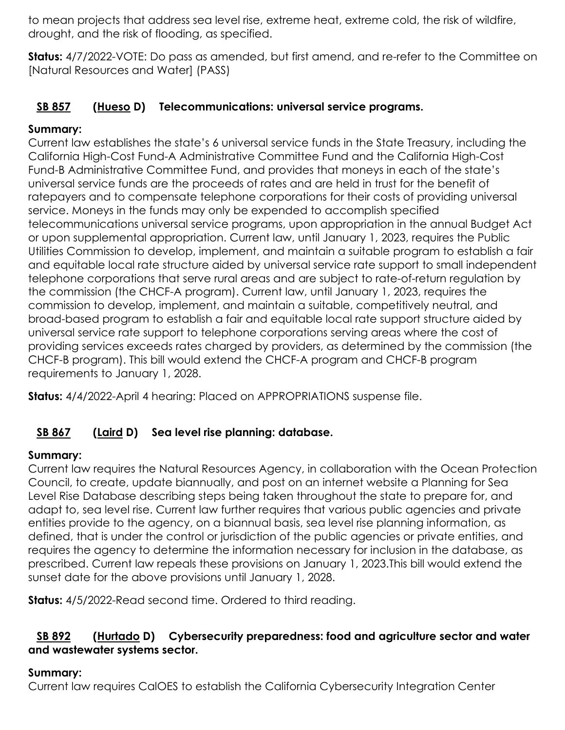to mean projects that address sea level rise, extreme heat, extreme cold, the risk of wildfire, drought, and the risk of flooding, as specified.

**Status:** 4/7/2022-VOTE: Do pass as amended, but first amend, and re-refer to the Committee on [Natural Resources and Water] (PASS)

# **[SB 857](https://ctweb.capitoltrack.com/public/publishbillinfo.aspx?bi=cENU4tIkt9J3FWYQjF4fWY7038U8P6REfgWl5VT7yJTem4UMk9mxywsawi16hx%2fS) [\(Hueso](http://sd40.senate.ca.gov/) D) Telecommunications: universal service programs.**

# **Summary:**

Current law establishes the state's 6 universal service funds in the State Treasury, including the California High-Cost Fund-A Administrative Committee Fund and the California High-Cost Fund-B Administrative Committee Fund, and provides that moneys in each of the state's universal service funds are the proceeds of rates and are held in trust for the benefit of ratepayers and to compensate telephone corporations for their costs of providing universal service. Moneys in the funds may only be expended to accomplish specified telecommunications universal service programs, upon appropriation in the annual Budget Act or upon supplemental appropriation. Current law, until January 1, 2023, requires the Public Utilities Commission to develop, implement, and maintain a suitable program to establish a fair and equitable local rate structure aided by universal service rate support to small independent telephone corporations that serve rural areas and are subject to rate-of-return regulation by the commission (the CHCF-A program). Current law, until January 1, 2023, requires the commission to develop, implement, and maintain a suitable, competitively neutral, and broad-based program to establish a fair and equitable local rate support structure aided by universal service rate support to telephone corporations serving areas where the cost of providing services exceeds rates charged by providers, as determined by the commission (the CHCF-B program). This bill would extend the CHCF-A program and CHCF-B program requirements to January 1, 2028.

**Status:** 4/4/2022-April 4 hearing: Placed on APPROPRIATIONS suspense file.

# **[SB 867](https://ctweb.capitoltrack.com/public/publishbillinfo.aspx?bi=SXR%2fUt%2f1C2EfZHKvR8rMy4oTE4bm%2b9FStTJ%2b9ReXPicnHLzOcQ99Q0BwBoir1ptF) [\(Laird](http://sd17.senate.ca.gov/) D) Sea level rise planning: database.**

# **Summary:**

Current law requires the Natural Resources Agency, in collaboration with the Ocean Protection Council, to create, update biannually, and post on an internet website a Planning for Sea Level Rise Database describing steps being taken throughout the state to prepare for, and adapt to, sea level rise. Current law further requires that various public agencies and private entities provide to the agency, on a biannual basis, sea level rise planning information, as defined, that is under the control or jurisdiction of the public agencies or private entities, and requires the agency to determine the information necessary for inclusion in the database, as prescribed. Current law repeals these provisions on January 1, 2023.This bill would extend the sunset date for the above provisions until January 1, 2028.

**Status:** 4/5/2022-Read second time. Ordered to third reading.

#### **[SB 892](https://ctweb.capitoltrack.com/public/publishbillinfo.aspx?bi=hSEueiZSK3HuR7eDJbAhxyWZhB1E%2bFwDVuRK0gGznb8aIZoRoYljVdKQ%2bplK6J%2bN) [\(Hurtado](https://sd14.senate.ca.gov/) D) Cybersecurity preparedness: food and agriculture sector and water and wastewater systems sector.**

# **Summary:**

Current law requires CalOES to establish the California Cybersecurity Integration Center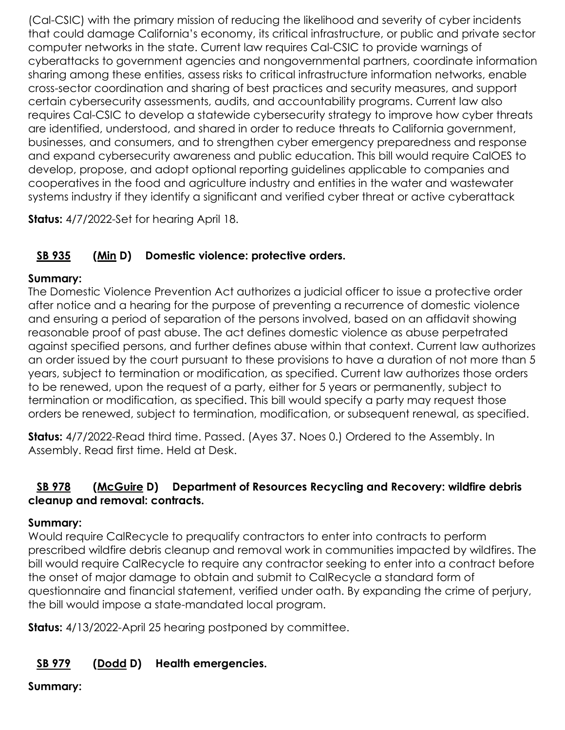(Cal-CSIC) with the primary mission of reducing the likelihood and severity of cyber incidents that could damage California's economy, its critical infrastructure, or public and private sector computer networks in the state. Current law requires Cal-CSIC to provide warnings of cyberattacks to government agencies and nongovernmental partners, coordinate information sharing among these entities, assess risks to critical infrastructure information networks, enable cross-sector coordination and sharing of best practices and security measures, and support certain cybersecurity assessments, audits, and accountability programs. Current law also requires Cal-CSIC to develop a statewide cybersecurity strategy to improve how cyber threats are identified, understood, and shared in order to reduce threats to California government, businesses, and consumers, and to strengthen cyber emergency preparedness and response and expand cybersecurity awareness and public education. This bill would require CalOES to develop, propose, and adopt optional reporting guidelines applicable to companies and cooperatives in the food and agriculture industry and entities in the water and wastewater systems industry if they identify a significant and verified cyber threat or active cyberattack

**Status:** 4/7/2022-Set for hearing April 18.

# **[SB 935](https://ctweb.capitoltrack.com/public/publishbillinfo.aspx?bi=8e0iezacWjPhn2QlVXgW6E3fgGxfkBTqW0nnd4gUdX6vod9R5gHm4bXL3mOqeKhb) [\(Min](https://sd37.senate.ca.gov/) D) Domestic violence: protective orders.**

# **Summary:**

The Domestic Violence Prevention Act authorizes a judicial officer to issue a protective order after notice and a hearing for the purpose of preventing a recurrence of domestic violence and ensuring a period of separation of the persons involved, based on an affidavit showing reasonable proof of past abuse. The act defines domestic violence as abuse perpetrated against specified persons, and further defines abuse within that context. Current law authorizes an order issued by the court pursuant to these provisions to have a duration of not more than 5 years, subject to termination or modification, as specified. Current law authorizes those orders to be renewed, upon the request of a party, either for 5 years or permanently, subject to termination or modification, as specified. This bill would specify a party may request those orders be renewed, subject to termination, modification, or subsequent renewal, as specified.

**Status:** 4/7/2022-Read third time. Passed. (Ayes 37. Noes 0.) Ordered to the Assembly. In Assembly. Read first time. Held at Desk.

# **[SB 978](https://ctweb.capitoltrack.com/public/publishbillinfo.aspx?bi=UhRlssVxzRZXKnVnJQ0z7fcH8ESNwk%2fz3Hfprz91VGtCM2gWBJ58ZJJxNjkZM8p1) [\(McGuire](http://sd02.senate.ca.gov/) D) Department of Resources Recycling and Recovery: wildfire debris cleanup and removal: contracts.**

# **Summary:**

Would require CalRecycle to prequalify contractors to enter into contracts to perform prescribed wildfire debris cleanup and removal work in communities impacted by wildfires. The bill would require CalRecycle to require any contractor seeking to enter into a contract before the onset of major damage to obtain and submit to CalRecycle a standard form of questionnaire and financial statement, verified under oath. By expanding the crime of perjury, the bill would impose a state-mandated local program.

**Status:** 4/13/2022-April 25 hearing postponed by committee.

# **[SB 979](https://ctweb.capitoltrack.com/public/publishbillinfo.aspx?bi=HFL6wvCj7cfe%2brUJx1ANMt2CaBTHABFNbHK6Ls11I4QclLe02u061lJ1HAXswlyn) [\(Dodd](http://sd03.senate.ca.gov/) D) Health emergencies.**

# **Summary:**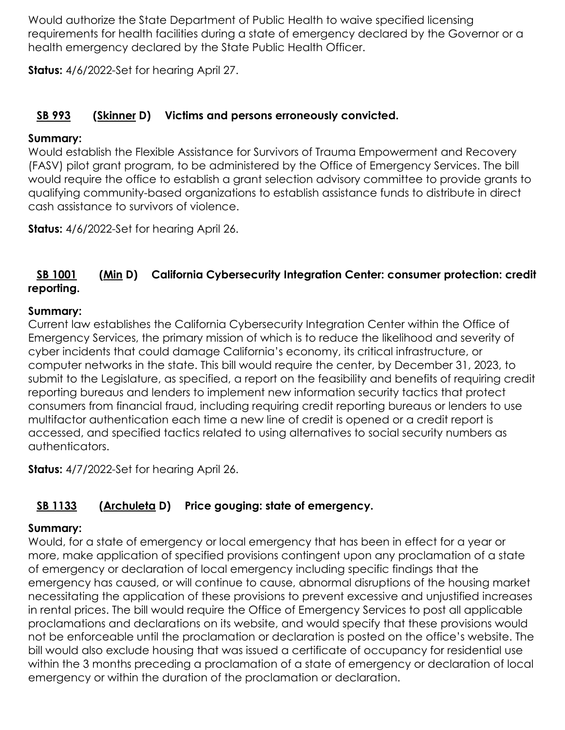Would authorize the State Department of Public Health to waive specified licensing requirements for health facilities during a state of emergency declared by the Governor or a health emergency declared by the State Public Health Officer.

**Status:** 4/6/2022-Set for hearing April 27.

# **[SB 993](https://ctweb.capitoltrack.com/public/publishbillinfo.aspx?bi=T%2flP%2f0GQxbmrULESbbiiTcnDuxmPZpPcbsj67YXh2JZjwSLmE9rq24rfQDFtWVIN) [\(Skinner](http://sd09.senate.ca.gov/) D) Victims and persons erroneously convicted.**

# **Summary:**

Would establish the Flexible Assistance for Survivors of Trauma Empowerment and Recovery (FASV) pilot grant program, to be administered by the Office of Emergency Services. The bill would require the office to establish a grant selection advisory committee to provide grants to qualifying community-based organizations to establish assistance funds to distribute in direct cash assistance to survivors of violence.

**Status:** 4/6/2022-Set for hearing April 26.

# **[SB 1001](https://ctweb.capitoltrack.com/public/publishbillinfo.aspx?bi=X%2bYA6FsEoeO0U5V9queq9%2fsXldalRFDGUgzMchz4BR9rUbkCTlIivRVmF9JDlan2) [\(Min](https://sd37.senate.ca.gov/) D) California Cybersecurity Integration Center: consumer protection: credit reporting.**

# **Summary:**

Current law establishes the California Cybersecurity Integration Center within the Office of Emergency Services, the primary mission of which is to reduce the likelihood and severity of cyber incidents that could damage California's economy, its critical infrastructure, or computer networks in the state. This bill would require the center, by December 31, 2023, to submit to the Legislature, as specified, a report on the feasibility and benefits of requiring credit reporting bureaus and lenders to implement new information security tactics that protect consumers from financial fraud, including requiring credit reporting bureaus or lenders to use multifactor authentication each time a new line of credit is opened or a credit report is accessed, and specified tactics related to using alternatives to social security numbers as authenticators.

**Status:** 4/7/2022-Set for hearing April 26.

# **[SB 1133](https://ctweb.capitoltrack.com/public/publishbillinfo.aspx?bi=4IaCuIcyIrscSNHA%2fGMgxi3aX1z2UewfhU6a3GCzRQFqV7mPTNr4MkkKBbeusUMn) [\(Archuleta](http://sd32.senate.ca.gov/) D) Price gouging: state of emergency.**

# **Summary:**

Would, for a state of emergency or local emergency that has been in effect for a year or more, make application of specified provisions contingent upon any proclamation of a state of emergency or declaration of local emergency including specific findings that the emergency has caused, or will continue to cause, abnormal disruptions of the housing market necessitating the application of these provisions to prevent excessive and unjustified increases in rental prices. The bill would require the Office of Emergency Services to post all applicable proclamations and declarations on its website, and would specify that these provisions would not be enforceable until the proclamation or declaration is posted on the office's website. The bill would also exclude housing that was issued a certificate of occupancy for residential use within the 3 months preceding a proclamation of a state of emergency or declaration of local emergency or within the duration of the proclamation or declaration.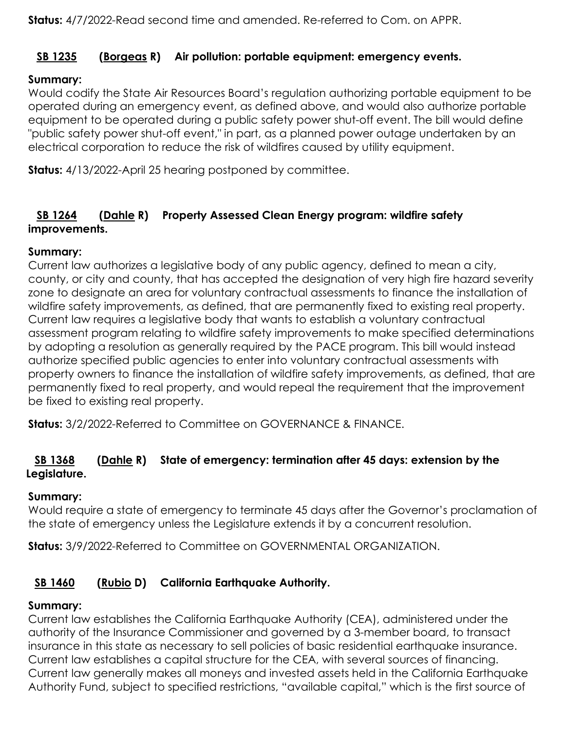# **[SB 1235](https://ctweb.capitoltrack.com/public/publishbillinfo.aspx?bi=3CpGNK9UxUAbFC0v8Yu3t46dJw5qboydZ%2bBSPODR9yyvStFdJuprCS0koE4XhQij) [\(Borgeas](https://borgeas.cssrc.us/) R) Air pollution: portable equipment: emergency events.**

# **Summary:**

Would codify the State Air Resources Board's regulation authorizing portable equipment to be operated during an emergency event, as defined above, and would also authorize portable equipment to be operated during a public safety power shut-off event. The bill would define "public safety power shut-off event," in part, as a planned power outage undertaken by an electrical corporation to reduce the risk of wildfires caused by utility equipment.

**Status:** 4/13/2022-April 25 hearing postponed by committee.

# **[SB 1264](https://ctweb.capitoltrack.com/public/publishbillinfo.aspx?bi=IGkcy8En%2bFg81iiJqlLQhRGcpwqK3Qn349AtuDD4I7%2bcMxYCxoCd0VLrnJyyFXGh) [\(Dahle](https://dahle.cssrc.us/) R) Property Assessed Clean Energy program: wildfire safety improvements.**

#### **Summary:**

Current law authorizes a legislative body of any public agency, defined to mean a city, county, or city and county, that has accepted the designation of very high fire hazard severity zone to designate an area for voluntary contractual assessments to finance the installation of wildfire safety improvements, as defined, that are permanently fixed to existing real property. Current law requires a legislative body that wants to establish a voluntary contractual assessment program relating to wildfire safety improvements to make specified determinations by adopting a resolution as generally required by the PACE program. This bill would instead authorize specified public agencies to enter into voluntary contractual assessments with property owners to finance the installation of wildfire safety improvements, as defined, that are permanently fixed to real property, and would repeal the requirement that the improvement be fixed to existing real property.

**Status:** 3/2/2022-Referred to Committee on GOVERNANCE & FINANCE.

# **[SB 1368](https://ctweb.capitoltrack.com/public/publishbillinfo.aspx?bi=ser7pV%2fP9zOc6HVy%2b1Co6tlXJ%2fLRblT61SZhpsoZZMSINeYYHFsuqZ0O%2fFW1X9%2be) [\(Dahle](https://dahle.cssrc.us/) R) State of emergency: termination after 45 days: extension by the Legislature.**

#### **Summary:**

Would require a state of emergency to terminate 45 days after the Governor's proclamation of the state of emergency unless the Legislature extends it by a concurrent resolution.

**Status:** 3/9/2022-Referred to Committee on GOVERNMENTAL ORGANIZATION.

# **[SB 1460](https://ctweb.capitoltrack.com/public/publishbillinfo.aspx?bi=IeeLyWXTyHWBAUmg6qPUpCv%2f6Su1ajHwquoyTdfWN1N18R8nT5LKj%2bdbmGwPNRmJ) [\(Rubio](http://sd22.senate.ca.gov/) D) California Earthquake Authority.**

# **Summary:**

Current law establishes the California Earthquake Authority (CEA), administered under the authority of the Insurance Commissioner and governed by a 3-member board, to transact insurance in this state as necessary to sell policies of basic residential earthquake insurance. Current law establishes a capital structure for the CEA, with several sources of financing. Current law generally makes all moneys and invested assets held in the California Earthquake Authority Fund, subject to specified restrictions, "available capital," which is the first source of